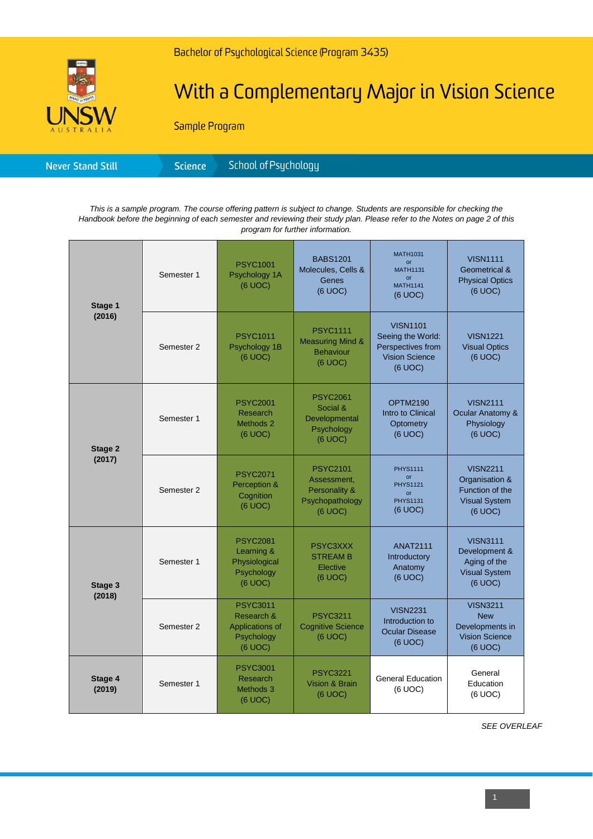

# With a Complementary Major in Vision Science

Sample Program

| <b>Never Stand Still</b> | <b>Science</b> | School of Psychology' |
|--------------------------|----------------|-----------------------|
|--------------------------|----------------|-----------------------|

*This is a sample program. The course offering pattern is subject to change. Students are responsible for checking the Handbook before the beginning of each semester and reviewing their study plan. Please refer to the Notes on page 2 of this program for further information.*

| Stage 1<br>(2016) | Semester 1 | <b>PSYC1001</b><br>Psychology 1A<br>(6 UOC)                               | <b>BABS1201</b><br>Molecules, Cells &<br>Genes<br>(6 UOC)                     | <b>MATH1031</b><br><b>or</b><br><b>MATH1131</b><br>or<br><b>MATH1141</b><br>(6 UOC)           | <b>VISN1111</b><br>Geometrical &<br><b>Physical Optics</b><br>(6 UOC)                   |
|-------------------|------------|---------------------------------------------------------------------------|-------------------------------------------------------------------------------|-----------------------------------------------------------------------------------------------|-----------------------------------------------------------------------------------------|
|                   | Semester 2 | <b>PSYC1011</b><br>Psychology 1B<br>(6 UOC)                               | <b>PSYC1111</b><br><b>Measuring Mind &amp;</b><br><b>Behaviour</b><br>(6 UOC) | <b>VISN1101</b><br>Seeing the World:<br>Perspectives from<br><b>Vision Science</b><br>(6 UOC) | <b>VISN1221</b><br><b>Visual Optics</b><br>(6 UOC)                                      |
| Stage 2<br>(2017) | Semester 1 | <b>PSYC2001</b><br>Research<br>Methods 2<br>(6 UOC)                       | <b>PSYC2061</b><br>Social &<br>Developmental<br>Psychology<br>(6 UOC)         | <b>OPTM2190</b><br>Intro to Clinical<br>Optometry<br>(6 UOC)                                  | <b>VISN2111</b><br>Ocular Anatomy &<br>Physiology<br>(6 UOC)                            |
|                   | Semester 2 | <b>PSYC2071</b><br>Perception &<br>Cognition<br>(6 UOC)                   | <b>PSYC2101</b><br>Assessment,<br>Personality &<br>Psychopathology<br>(6 UOC) | <b>PHYS1111</b><br>$\alpha$ r<br><b>PHYS1121</b><br>$\alpha$ r<br><b>PHYS1131</b><br>(6 UOC)  | <b>VISN2211</b><br>Organisation &<br>Function of the<br><b>Visual System</b><br>(6 UOC) |
| Stage 3<br>(2018) | Semester 1 | <b>PSYC2081</b><br>Learning &<br>Physiological<br>Psychology<br>(6 UOC)   | PSYC3XXX<br><b>STREAM B</b><br>Elective<br>(6 UOC)                            | <b>ANAT2111</b><br>Introductory<br>Anatomy<br>(6 UOC)                                         | <b>VISN3111</b><br>Development &<br>Aging of the<br><b>Visual System</b><br>(6 UOC)     |
|                   | Semester 2 | <b>PSYC3011</b><br>Research &<br>Applications of<br>Psychology<br>(6 UOC) | <b>PSYC3211</b><br><b>Cognitive Science</b><br>(6 UOC)                        | <b>VISN2231</b><br>Introduction to<br><b>Ocular Disease</b><br>(6 UOC)                        | <b>VISN3211</b><br><b>New</b><br>Developments in<br><b>Vision Science</b><br>(6 UOC)    |
| Stage 4<br>(2019) | Semester 1 | <b>PSYC3001</b><br>Research<br>Methods 3<br>(6 UOC)                       | <b>PSYC3221</b><br><b>Vision &amp; Brain</b><br>(6 UOC)                       | <b>General Education</b><br>(6 UOC)                                                           | General<br>Education<br>(6 UOC)                                                         |

*SEE OVERLEAF*